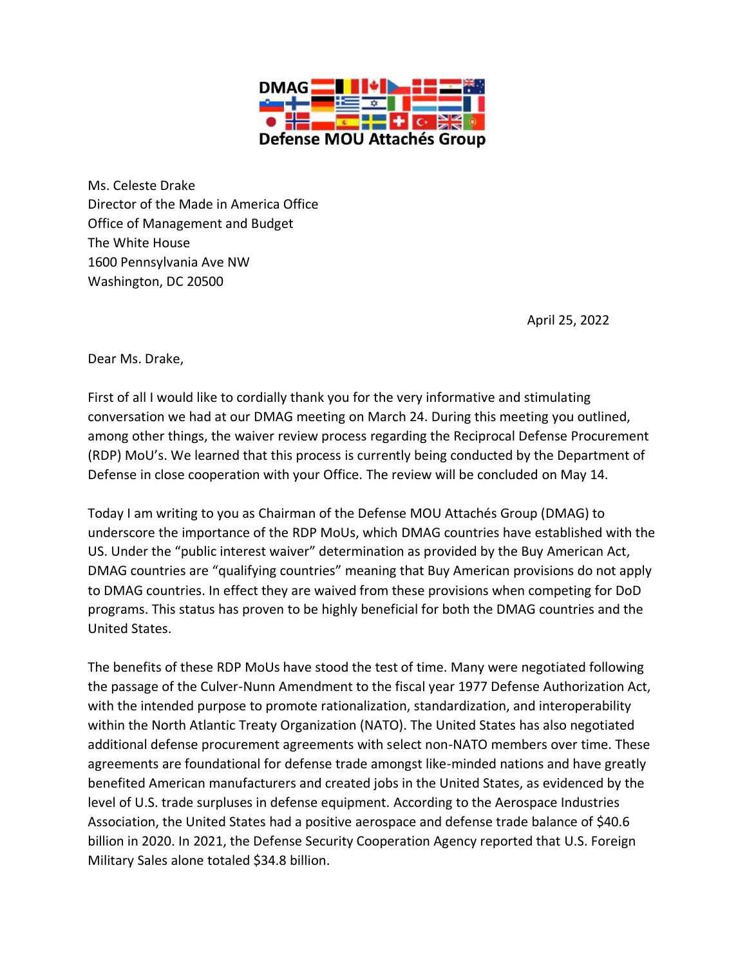

Ms. Celeste Drake Director of the Made in America Office Office of Management and Budget The White House 1600 Pennsylvania Ave NW Washington, DC 20500

April 25, 2022

Dear Ms. Drake,

First of all I would like to cordially thank you for the very informative and stimulating conversation we had at our DMAG meeting on March 24. During this meeting you outlined, among other things, the waiver review process regarding the Reciprocal Defense Procurement (RDP) MoU's. We learned that this process is currently being conducted by the Department of Defense in close cooperation with your Office. The review will be concluded on May 14.

Today I am writing to you as Chairman of the Defense MOU Attachés Group (DMAG) to underscore the importance of the RDP MoUs, which DMAG countries have established with the US. Under the "public interest waiver" determination as provided by the Buy American Act, DMAG countries are "qualifying countries" meaning that Buy American provisions do not apply to DMAG countries. In effect they are waived from these provisions when competing for DoD programs. This status has proven to be highly beneficial for both the DMAG countries and the United States.

The benefits of these RDP MoUs have stood the test of time. Many were negotiated following the passage of the Culver-Nunn Amendment to the fiscal year 1977 Defense Authorization Act, with the intended purpose to promote rationalization, standardization, and interoperability within the North Atlantic Treaty Organization (NATO). The United States has also negotiated additional defense procurement agreements with select non-NATO members over time. These agreements are foundational for defense trade amongst like-minded nations and have greatly benefited American manufacturers and created jobs in the United States, as evidenced by the level of U.S. trade surpluses in defense equipment. According to the Aerospace Industries Association, the United States had a positive aerospace and defense trade balance of \$40.6 billion in 2020. In 2021, the Defense Security Cooperation Agency reported that U.S. Foreign Military Sales alone totaled \$34.8 billion.